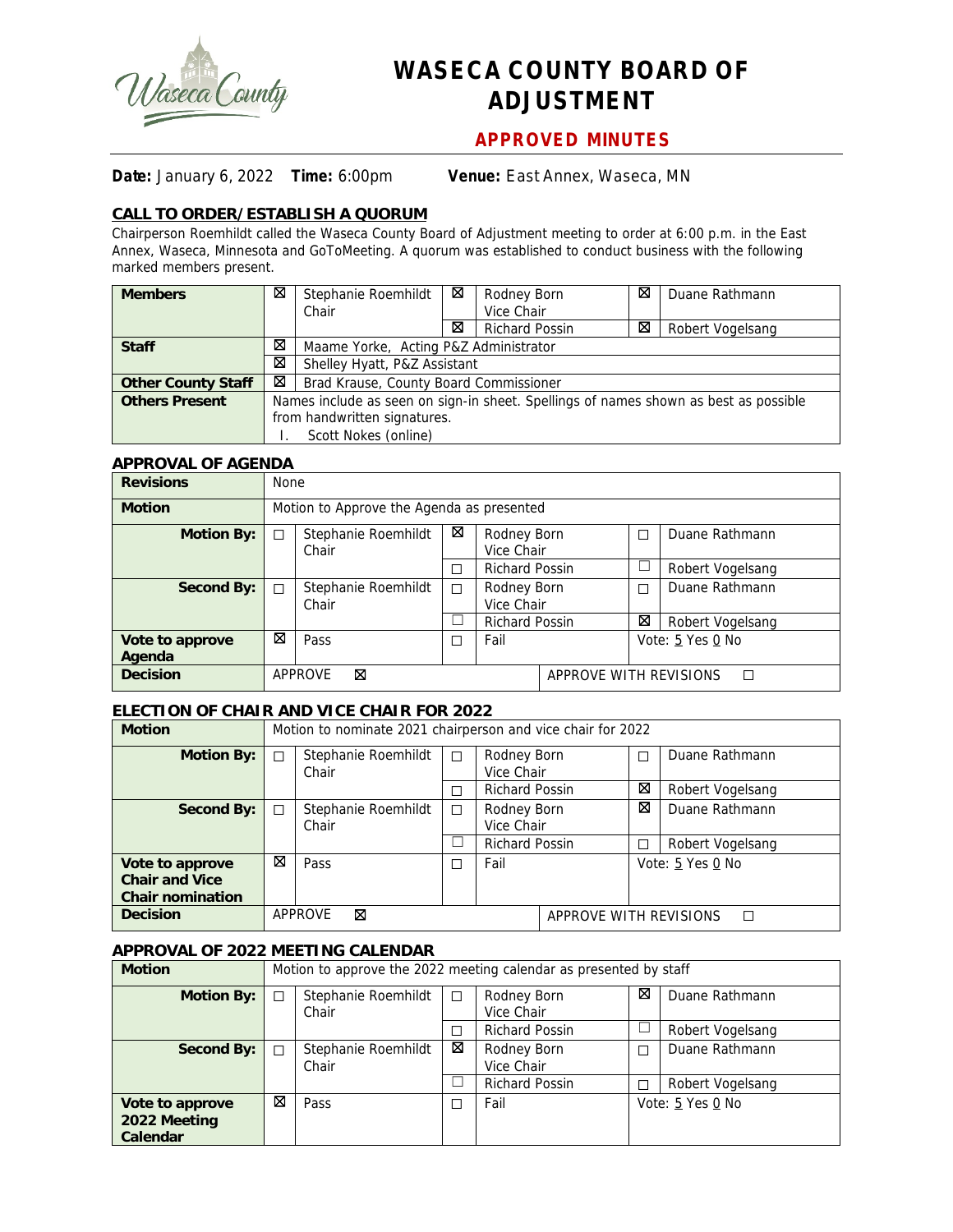

# **WASECA COUNTY BOARD OF ADJUSTMENT**

## **APPROVED MINUTES**

**Date:** January 6, 2022 **Time:** 6:00pm **Venue:** East Annex, Waseca, MN

### **CALL TO ORDER/ESTABLISH A QUORUM**

Chairperson Roemhildt called the Waseca County Board of Adjustment meeting to order at 6:00 p.m. in the East Annex, Waseca, Minnesota and GoToMeeting. A quorum was established to conduct business with the following marked members present.

| <b>Members</b>            | ⊠ | Stephanie Roemhildt                                                                  | ⊠                                      | Rodney Born           | ⊠ | Duane Rathmann   |  |  |  |  |
|---------------------------|---|--------------------------------------------------------------------------------------|----------------------------------------|-----------------------|---|------------------|--|--|--|--|
|                           |   | Chair                                                                                |                                        | Vice Chair            |   |                  |  |  |  |  |
|                           |   |                                                                                      | ⊠                                      | <b>Richard Possin</b> | ⊠ | Robert Vogelsang |  |  |  |  |
| <b>Staff</b>              | ⊠ |                                                                                      | Maame Yorke, Acting P&Z Administrator  |                       |   |                  |  |  |  |  |
|                           | ⊠ | Shelley Hyatt, P&Z Assistant                                                         |                                        |                       |   |                  |  |  |  |  |
| <b>Other County Staff</b> | ⊠ |                                                                                      | Brad Krause, County Board Commissioner |                       |   |                  |  |  |  |  |
| <b>Others Present</b>     |   | Names include as seen on sign-in sheet. Spellings of names shown as best as possible |                                        |                       |   |                  |  |  |  |  |
|                           |   | from handwritten signatures.                                                         |                                        |                       |   |                  |  |  |  |  |
|                           |   | Scott Nokes (online)                                                                 |                                        |                       |   |                  |  |  |  |  |

#### **APPROVAL OF AGENDA**

| <b>Revisions</b>  |   | <b>None</b>                               |   |                           |                             |                  |                  |  |  |
|-------------------|---|-------------------------------------------|---|---------------------------|-----------------------------|------------------|------------------|--|--|
| <b>Motion</b>     |   | Motion to Approve the Agenda as presented |   |                           |                             |                  |                  |  |  |
| <b>Motion By:</b> | П | Stephanie Roemhildt<br>Chair              | ⊠ | Rodney Born<br>Vice Chair |                             |                  | Duane Rathmann   |  |  |
|                   |   |                                           | П |                           | <b>Richard Possin</b>       |                  | Robert Vogelsang |  |  |
| Second By:        | П | Stephanie Roemhildt<br>Chair              | □ | Rodney Born<br>Vice Chair |                             | П                | Duane Rathmann   |  |  |
|                   |   |                                           |   | <b>Richard Possin</b>     |                             | ⊠                | Robert Vogelsang |  |  |
| Vote to approve   | ⊠ | Pass                                      | □ | Fail                      |                             | Vote: 5 Yes 0 No |                  |  |  |
| Agenda            |   |                                           |   |                           |                             |                  |                  |  |  |
| <b>Decision</b>   |   | ⊠<br><b>APPROVE</b>                       |   |                           | APPROVE WITH REVISIONS<br>П |                  |                  |  |  |

#### **ELECTION OF CHAIR AND VICE CHAIR FOR 2022**

| <b>Motion</b>           |   | Motion to nominate 2021 chairperson and vice chair for 2022 |   |                           |                             |                  |                  |  |
|-------------------------|---|-------------------------------------------------------------|---|---------------------------|-----------------------------|------------------|------------------|--|
| <b>Motion By:</b>       | П | Stephanie Roemhildt<br>Chair                                | П | Rodney Born<br>Vice Chair |                             | П                | Duane Rathmann   |  |
|                         |   |                                                             |   |                           |                             | ⊠                |                  |  |
|                         |   |                                                             | П | <b>Richard Possin</b>     |                             |                  | Robert Vogelsang |  |
| Second By:              | П | Stephanie Roemhildt                                         | П | Rodney Born               |                             | ⊠                | Duane Rathmann   |  |
|                         |   | Chair                                                       |   | Vice Chair                |                             |                  |                  |  |
|                         |   |                                                             |   | <b>Richard Possin</b>     |                             | П                | Robert Vogelsang |  |
| Vote to approve         | ⊠ | Pass                                                        | □ | Fail                      |                             | Vote: 5 Yes 0 No |                  |  |
| <b>Chair and Vice</b>   |   |                                                             |   |                           |                             |                  |                  |  |
| <b>Chair nomination</b> |   |                                                             |   |                           |                             |                  |                  |  |
| <b>Decision</b>         |   | APPROVE<br>⊠                                                |   |                           | APPROVE WITH REVISIONS<br>П |                  |                  |  |

#### **APPROVAL OF 2022 MEETING CALENDAR**

| <b>Motion</b>                   |   | Motion to approve the 2022 meeting calendar as presented by staff |        |                           |   |                  |  |  |  |
|---------------------------------|---|-------------------------------------------------------------------|--------|---------------------------|---|------------------|--|--|--|
| Motion By:                      | П | Stephanie Roemhildt<br>Chair                                      | $\Box$ | Rodney Born<br>Vice Chair |   | Duane Rathmann   |  |  |  |
|                                 |   |                                                                   |        | <b>Richard Possin</b>     |   | Robert Vogelsang |  |  |  |
| Second By:                      | П | Stephanie Roemhildt<br>Chair                                      | ⊠      | Rodney Born<br>Vice Chair |   | Duane Rathmann   |  |  |  |
|                                 |   |                                                                   |        | <b>Richard Possin</b>     | г | Robert Vogelsang |  |  |  |
| Vote to approve<br>2022 Meeting | ⊠ | Pass                                                              | П      | Fail                      |   | Vote: 5 Yes 0 No |  |  |  |
| Calendar                        |   |                                                                   |        |                           |   |                  |  |  |  |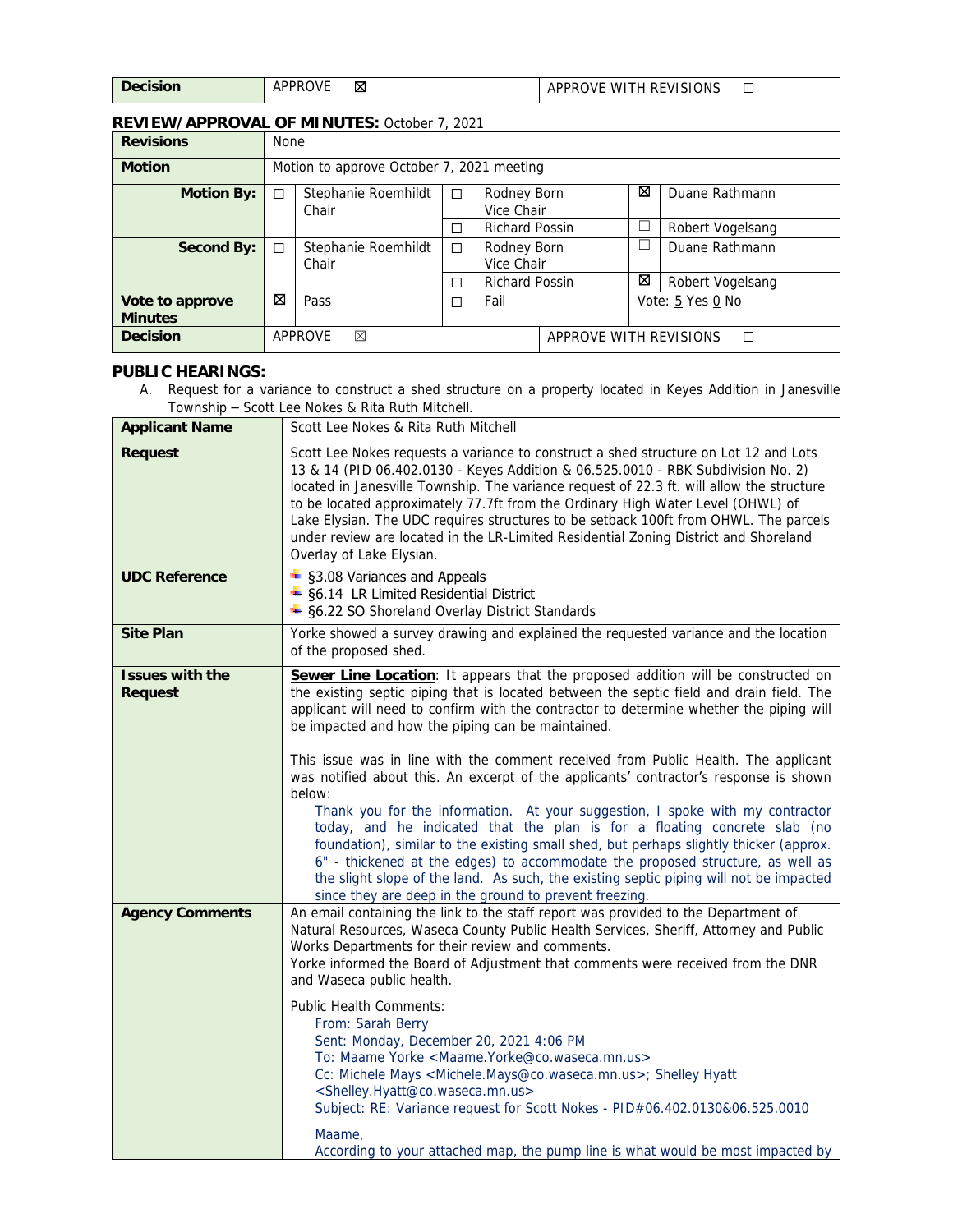| <b>Decision</b> | <b>APPRC</b><br>м<br><b>RUV</b> | APPROVE WITH REVISIONS |  |
|-----------------|---------------------------------|------------------------|--|
|                 |                                 |                        |  |

#### **REVIEW/APPROVAL OF MINUTES:** October 7, 2021

| <b>Revisions</b>                  |   | <b>None</b>                               |        |                           |                             |                  |                  |  |
|-----------------------------------|---|-------------------------------------------|--------|---------------------------|-----------------------------|------------------|------------------|--|
| <b>Motion</b>                     |   | Motion to approve October 7, 2021 meeting |        |                           |                             |                  |                  |  |
| <b>Motion By:</b>                 | ┑ | Stephanie Roemhildt<br>Chair              | П      | Rodney Born<br>Vice Chair |                             | ⊠                | Duane Rathmann   |  |
|                                   |   |                                           | П      |                           | <b>Richard Possin</b>       |                  | Robert Vogelsang |  |
| Second By:                        | □ | Stephanie Roemhildt<br>Chair              | $\Box$ | Rodney Born<br>Vice Chair |                             | L                | Duane Rathmann   |  |
|                                   |   |                                           | П      |                           | <b>Richard Possin</b>       |                  | Robert Vogelsang |  |
| Vote to approve<br><b>Minutes</b> | ⊠ | Pass                                      | П      | Fail                      |                             | Vote: 5 Yes 0 No |                  |  |
| <b>Decision</b>                   |   | <b>APPROVE</b><br>⊠                       |        |                           | APPROVE WITH REVISIONS<br>П |                  |                  |  |

#### **PUBLIC HEARINGS:**

A. Request for a variance to construct a shed structure on a property located in Keyes Addition in Janesville Township – Scott Lee Nokes & Rita Ruth Mitchell.

| <b>Applicant Name</b>                    | Scott Lee Nokes & Rita Ruth Mitchell                                                                                                                                                                                                                                                                                                                                                                                                                                                                                                                                                                                                                                                                                                                                                                                                                                                                                                                                                                                 |
|------------------------------------------|----------------------------------------------------------------------------------------------------------------------------------------------------------------------------------------------------------------------------------------------------------------------------------------------------------------------------------------------------------------------------------------------------------------------------------------------------------------------------------------------------------------------------------------------------------------------------------------------------------------------------------------------------------------------------------------------------------------------------------------------------------------------------------------------------------------------------------------------------------------------------------------------------------------------------------------------------------------------------------------------------------------------|
| <b>Request</b>                           | Scott Lee Nokes requests a variance to construct a shed structure on Lot 12 and Lots<br>13 & 14 (PID 06.402.0130 - Keyes Addition & 06.525.0010 - RBK Subdivision No. 2)<br>located in Janesville Township. The variance request of 22.3 ft. will allow the structure<br>to be located approximately 77.7ft from the Ordinary High Water Level (OHWL) of<br>Lake Elysian. The UDC requires structures to be setback 100ft from OHWL. The parcels<br>under review are located in the LR-Limited Residential Zoning District and Shoreland<br>Overlay of Lake Elysian.                                                                                                                                                                                                                                                                                                                                                                                                                                                 |
| <b>UDC Reference</b>                     | + §3.08 Variances and Appeals<br>$\ddot{\bullet}$ §6.14 LR Limited Residential District<br>+ §6.22 SO Shoreland Overlay District Standards                                                                                                                                                                                                                                                                                                                                                                                                                                                                                                                                                                                                                                                                                                                                                                                                                                                                           |
| <b>Site Plan</b>                         | Yorke showed a survey drawing and explained the requested variance and the location<br>of the proposed shed.                                                                                                                                                                                                                                                                                                                                                                                                                                                                                                                                                                                                                                                                                                                                                                                                                                                                                                         |
| <b>Issues with the</b><br><b>Request</b> | Sewer Line Location: It appears that the proposed addition will be constructed on<br>the existing septic piping that is located between the septic field and drain field. The<br>applicant will need to confirm with the contractor to determine whether the piping will<br>be impacted and how the piping can be maintained.<br>This issue was in line with the comment received from Public Health. The applicant<br>was notified about this. An excerpt of the applicants' contractor's response is shown<br>below:<br>Thank you for the information. At your suggestion, I spoke with my contractor<br>today, and he indicated that the plan is for a floating concrete slab (no<br>foundation), similar to the existing small shed, but perhaps slightly thicker (approx.<br>6" - thickened at the edges) to accommodate the proposed structure, as well as<br>the slight slope of the land. As such, the existing septic piping will not be impacted<br>since they are deep in the ground to prevent freezing. |
| <b>Agency Comments</b>                   | An email containing the link to the staff report was provided to the Department of<br>Natural Resources, Waseca County Public Health Services, Sheriff, Attorney and Public<br>Works Departments for their review and comments.<br>Yorke informed the Board of Adjustment that comments were received from the DNR<br>and Waseca public health.<br>Public Health Comments:<br>From: Sarah Berry<br>Sent: Monday, December 20, 2021 4:06 PM<br>To: Maame Yorke <maame.yorke@co.waseca.mn.us><br/>Cc: Michele Mays <michele.mays@co.waseca.mn.us>; Shelley Hyatt<br/><shelley.hyatt@co.waseca.mn.us><br/>Subject: RE: Variance request for Scott Nokes - PID#06.402.0130&amp;06.525.0010<br/>Maame,<br/>According to your attached map, the pump line is what would be most impacted by</shelley.hyatt@co.waseca.mn.us></michele.mays@co.waseca.mn.us></maame.yorke@co.waseca.mn.us>                                                                                                                                   |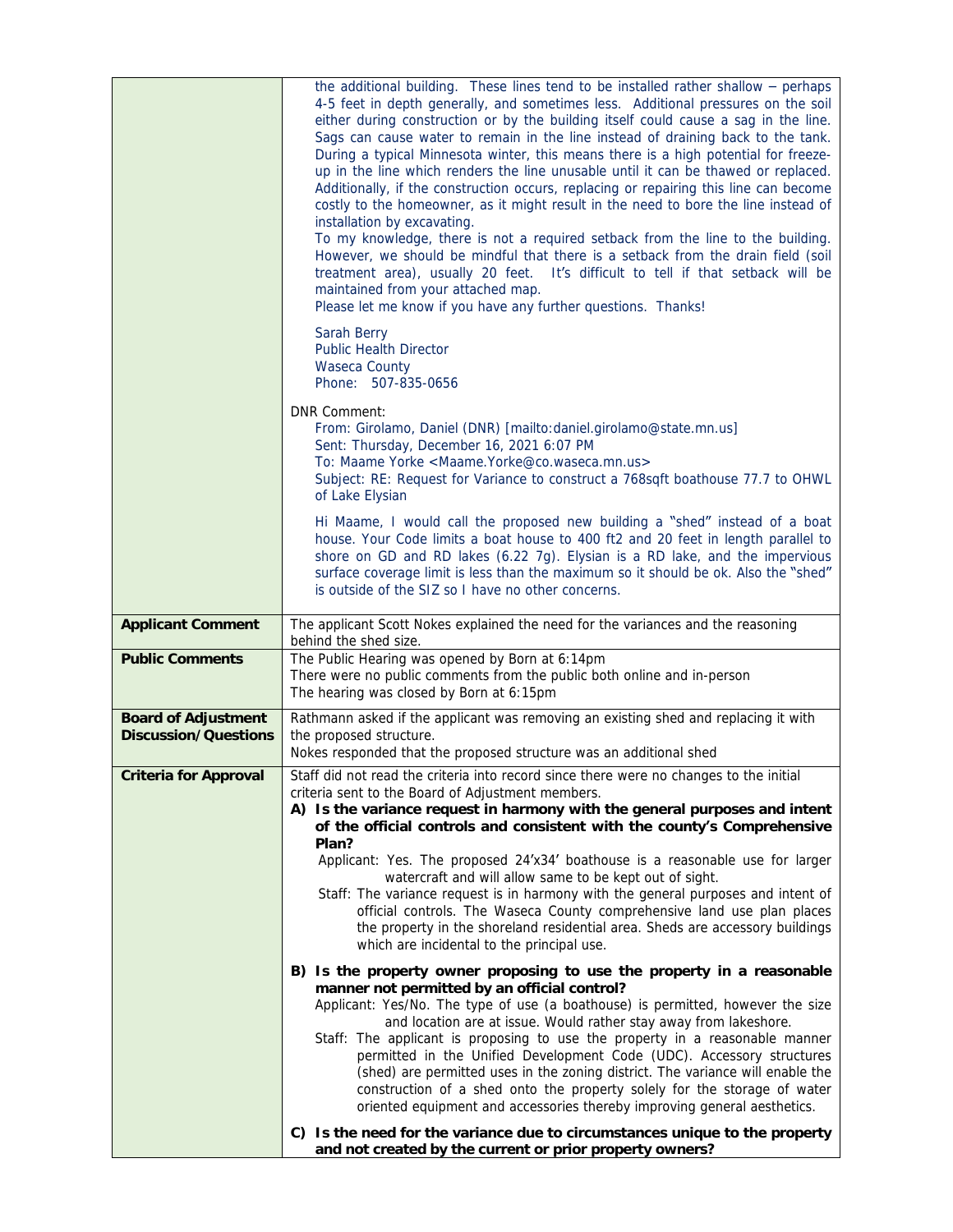|                                                           | the additional building. These lines tend to be installed rather shallow $-$ perhaps<br>4-5 feet in depth generally, and sometimes less. Additional pressures on the soil<br>either during construction or by the building itself could cause a sag in the line.<br>Sags can cause water to remain in the line instead of draining back to the tank.<br>During a typical Minnesota winter, this means there is a high potential for freeze-<br>up in the line which renders the line unusable until it can be thawed or replaced.<br>Additionally, if the construction occurs, replacing or repairing this line can become<br>costly to the homeowner, as it might result in the need to bore the line instead of<br>installation by excavating.<br>To my knowledge, there is not a required setback from the line to the building.<br>However, we should be mindful that there is a setback from the drain field (soil<br>treatment area), usually 20 feet. It's difficult to tell if that setback will be<br>maintained from your attached map.<br>Please let me know if you have any further questions. Thanks!<br>Sarah Berry |
|-----------------------------------------------------------|-----------------------------------------------------------------------------------------------------------------------------------------------------------------------------------------------------------------------------------------------------------------------------------------------------------------------------------------------------------------------------------------------------------------------------------------------------------------------------------------------------------------------------------------------------------------------------------------------------------------------------------------------------------------------------------------------------------------------------------------------------------------------------------------------------------------------------------------------------------------------------------------------------------------------------------------------------------------------------------------------------------------------------------------------------------------------------------------------------------------------------------|
|                                                           | <b>Public Health Director</b><br>Waseca County<br>Phone: 507-835-0656                                                                                                                                                                                                                                                                                                                                                                                                                                                                                                                                                                                                                                                                                                                                                                                                                                                                                                                                                                                                                                                             |
|                                                           | <b>DNR Comment:</b><br>From: Girolamo, Daniel (DNR) [mailto:daniel.girolamo@state.mn.us]<br>Sent: Thursday, December 16, 2021 6:07 PM<br>To: Maame Yorke <maame.yorke@co.waseca.mn.us><br/>Subject: RE: Request for Variance to construct a 768sqft boathouse 77.7 to OHWL<br/>of Lake Elysian</maame.yorke@co.waseca.mn.us>                                                                                                                                                                                                                                                                                                                                                                                                                                                                                                                                                                                                                                                                                                                                                                                                      |
|                                                           | Hi Maame, I would call the proposed new building a "shed" instead of a boat<br>house. Your Code limits a boat house to 400 ft2 and 20 feet in length parallel to<br>shore on GD and RD lakes (6.22 7g). Elysian is a RD lake, and the impervious<br>surface coverage limit is less than the maximum so it should be ok. Also the "shed"<br>is outside of the SIZ so I have no other concerns.                                                                                                                                                                                                                                                                                                                                                                                                                                                                                                                                                                                                                                                                                                                                     |
| <b>Applicant Comment</b>                                  | The applicant Scott Nokes explained the need for the variances and the reasoning<br>behind the shed size.                                                                                                                                                                                                                                                                                                                                                                                                                                                                                                                                                                                                                                                                                                                                                                                                                                                                                                                                                                                                                         |
| <b>Public Comments</b>                                    | The Public Hearing was opened by Born at 6:14pm<br>There were no public comments from the public both online and in-person<br>The hearing was closed by Born at 6:15pm                                                                                                                                                                                                                                                                                                                                                                                                                                                                                                                                                                                                                                                                                                                                                                                                                                                                                                                                                            |
| <b>Board of Adjustment</b><br><b>Discussion/Questions</b> | Rathmann asked if the applicant was removing an existing shed and replacing it with<br>the proposed structure.<br>Nokes responded that the proposed structure was an additional shed                                                                                                                                                                                                                                                                                                                                                                                                                                                                                                                                                                                                                                                                                                                                                                                                                                                                                                                                              |
| <b>Criteria for Approval</b>                              | Staff did not read the criteria into record since there were no changes to the initial<br>criteria sent to the Board of Adjustment members.<br>A) Is the variance request in harmony with the general purposes and intent<br>of the official controls and consistent with the county's Comprehensive<br>Plan?<br>Applicant: Yes. The proposed 24'x34' boathouse is a reasonable use for larger<br>watercraft and will allow same to be kept out of sight.<br>Staff: The variance request is in harmony with the general purposes and intent of<br>official controls. The Waseca County comprehensive land use plan places<br>the property in the shoreland residential area. Sheds are accessory buildings<br>which are incidental to the principal use.                                                                                                                                                                                                                                                                                                                                                                          |
|                                                           | B) Is the property owner proposing to use the property in a reasonable<br>manner not permitted by an official control?<br>Applicant: Yes/No. The type of use (a boathouse) is permitted, however the size<br>and location are at issue. Would rather stay away from lakeshore.<br>Staff: The applicant is proposing to use the property in a reasonable manner<br>permitted in the Unified Development Code (UDC). Accessory structures<br>(shed) are permitted uses in the zoning district. The variance will enable the<br>construction of a shed onto the property solely for the storage of water<br>oriented equipment and accessories thereby improving general aesthetics.<br>C) Is the need for the variance due to circumstances unique to the property                                                                                                                                                                                                                                                                                                                                                                  |
|                                                           | and not created by the current or prior property owners?                                                                                                                                                                                                                                                                                                                                                                                                                                                                                                                                                                                                                                                                                                                                                                                                                                                                                                                                                                                                                                                                          |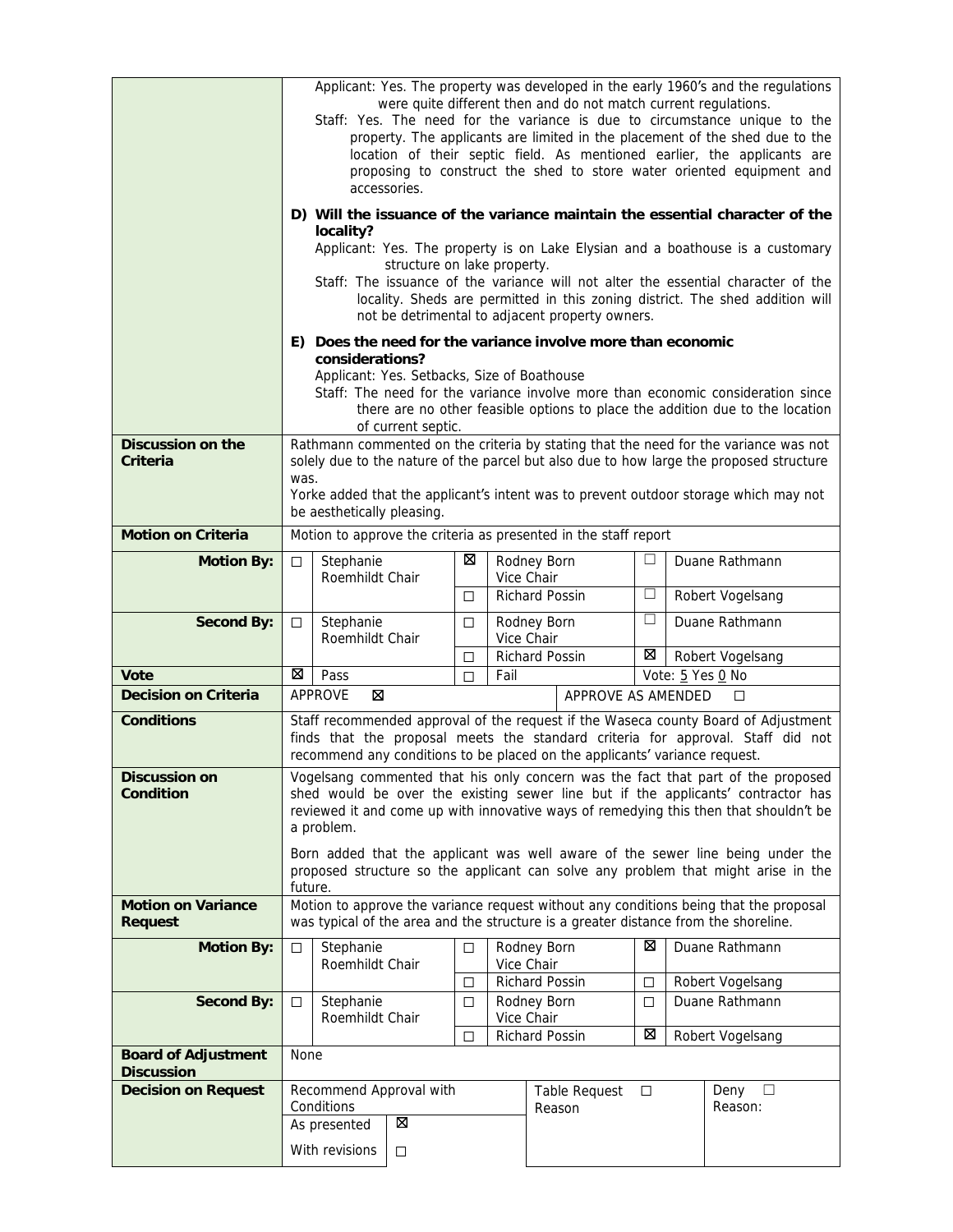|                                                 | Applicant: Yes. The property was developed in the early 1960's and the regulations<br>were quite different then and do not match current regulations.<br>Staff: Yes. The need for the variance is due to circumstance unique to the<br>property. The applicants are limited in the placement of the shed due to the<br>location of their septic field. As mentioned earlier, the applicants are<br>proposing to construct the shed to store water oriented equipment and<br>accessories.<br>D) Will the issuance of the variance maintain the essential character of the<br>locality?<br>Applicant: Yes. The property is on Lake Elysian and a boathouse is a customary<br>structure on lake property.<br>Staff: The issuance of the variance will not alter the essential character of the<br>locality. Sheds are permitted in this zoning district. The shed addition will<br>not be detrimental to adjacent property owners. |                                                                |                    |        |      |                                                                                     |        |                                                                                                                                                                                                                                                                         |
|-------------------------------------------------|---------------------------------------------------------------------------------------------------------------------------------------------------------------------------------------------------------------------------------------------------------------------------------------------------------------------------------------------------------------------------------------------------------------------------------------------------------------------------------------------------------------------------------------------------------------------------------------------------------------------------------------------------------------------------------------------------------------------------------------------------------------------------------------------------------------------------------------------------------------------------------------------------------------------------------|----------------------------------------------------------------|--------------------|--------|------|-------------------------------------------------------------------------------------|--------|-------------------------------------------------------------------------------------------------------------------------------------------------------------------------------------------------------------------------------------------------------------------------|
|                                                 |                                                                                                                                                                                                                                                                                                                                                                                                                                                                                                                                                                                                                                                                                                                                                                                                                                                                                                                                 | considerations?<br>Applicant: Yes. Setbacks, Size of Boathouse | of current septic. |        |      | E) Does the need for the variance involve more than economic                        |        | Staff: The need for the variance involve more than economic consideration since<br>there are no other feasible options to place the addition due to the location                                                                                                        |
| Discussion on the<br>Criteria                   | was.                                                                                                                                                                                                                                                                                                                                                                                                                                                                                                                                                                                                                                                                                                                                                                                                                                                                                                                            | be aesthetically pleasing.                                     |                    |        |      |                                                                                     |        | Rathmann commented on the criteria by stating that the need for the variance was not<br>solely due to the nature of the parcel but also due to how large the proposed structure<br>Yorke added that the applicant's intent was to prevent outdoor storage which may not |
| <b>Motion on Criteria</b>                       |                                                                                                                                                                                                                                                                                                                                                                                                                                                                                                                                                                                                                                                                                                                                                                                                                                                                                                                                 |                                                                |                    |        |      | Motion to approve the criteria as presented in the staff report                     |        |                                                                                                                                                                                                                                                                         |
| <b>Motion By:</b>                               | $\Box$                                                                                                                                                                                                                                                                                                                                                                                                                                                                                                                                                                                                                                                                                                                                                                                                                                                                                                                          | Stephanie<br>Roemhildt Chair                                   |                    | ⊠      |      | Rodney Born<br>Vice Chair                                                           |        | Duane Rathmann                                                                                                                                                                                                                                                          |
|                                                 |                                                                                                                                                                                                                                                                                                                                                                                                                                                                                                                                                                                                                                                                                                                                                                                                                                                                                                                                 |                                                                |                    | □      |      | Richard Possin                                                                      | $\Box$ | Robert Vogelsang                                                                                                                                                                                                                                                        |
| <b>Second By:</b>                               | □                                                                                                                                                                                                                                                                                                                                                                                                                                                                                                                                                                                                                                                                                                                                                                                                                                                                                                                               | Stephanie<br>Roemhildt Chair                                   |                    | □      |      | Rodney Born<br>Vice Chair                                                           | □      | Duane Rathmann                                                                                                                                                                                                                                                          |
|                                                 |                                                                                                                                                                                                                                                                                                                                                                                                                                                                                                                                                                                                                                                                                                                                                                                                                                                                                                                                 |                                                                |                    | □      |      | Richard Possin                                                                      | ⊠      | Robert Vogelsang                                                                                                                                                                                                                                                        |
|                                                 |                                                                                                                                                                                                                                                                                                                                                                                                                                                                                                                                                                                                                                                                                                                                                                                                                                                                                                                                 |                                                                |                    |        |      |                                                                                     |        |                                                                                                                                                                                                                                                                         |
| Vote                                            | ⊠                                                                                                                                                                                                                                                                                                                                                                                                                                                                                                                                                                                                                                                                                                                                                                                                                                                                                                                               | Pass                                                           |                    | □      | Fail |                                                                                     |        | Vote: 5 Yes 0 No                                                                                                                                                                                                                                                        |
| <b>Decision on Criteria</b>                     |                                                                                                                                                                                                                                                                                                                                                                                                                                                                                                                                                                                                                                                                                                                                                                                                                                                                                                                                 | <b>APPROVE</b><br>⊠                                            |                    |        |      | APPROVE AS AMENDED                                                                  |        | □                                                                                                                                                                                                                                                                       |
| <b>Conditions</b>                               |                                                                                                                                                                                                                                                                                                                                                                                                                                                                                                                                                                                                                                                                                                                                                                                                                                                                                                                                 |                                                                |                    |        |      | recommend any conditions to be placed on the applicants' variance request.          |        | Staff recommended approval of the request if the Waseca county Board of Adjustment<br>finds that the proposal meets the standard criteria for approval. Staff did not                                                                                                   |
| <b>Discussion on</b><br>Condition               |                                                                                                                                                                                                                                                                                                                                                                                                                                                                                                                                                                                                                                                                                                                                                                                                                                                                                                                                 | a problem.                                                     |                    |        |      |                                                                                     |        | Vogelsang commented that his only concern was the fact that part of the proposed<br>shed would be over the existing sewer line but if the applicants' contractor has<br>reviewed it and come up with innovative ways of remedying this then that shouldn't be           |
|                                                 | future.                                                                                                                                                                                                                                                                                                                                                                                                                                                                                                                                                                                                                                                                                                                                                                                                                                                                                                                         |                                                                |                    |        |      |                                                                                     |        | Born added that the applicant was well aware of the sewer line being under the<br>proposed structure so the applicant can solve any problem that might arise in the                                                                                                     |
| <b>Motion on Variance</b><br><b>Request</b>     |                                                                                                                                                                                                                                                                                                                                                                                                                                                                                                                                                                                                                                                                                                                                                                                                                                                                                                                                 |                                                                |                    |        |      | was typical of the area and the structure is a greater distance from the shoreline. |        | Motion to approve the variance request without any conditions being that the proposal                                                                                                                                                                                   |
| <b>Motion By:</b>                               | $\Box$                                                                                                                                                                                                                                                                                                                                                                                                                                                                                                                                                                                                                                                                                                                                                                                                                                                                                                                          | Stephanie<br>Roemhildt Chair                                   |                    | $\Box$ |      | Rodney Born<br>Vice Chair                                                           | ⊠      | Duane Rathmann                                                                                                                                                                                                                                                          |
|                                                 |                                                                                                                                                                                                                                                                                                                                                                                                                                                                                                                                                                                                                                                                                                                                                                                                                                                                                                                                 |                                                                |                    | □      |      | Richard Possin                                                                      | □      | Robert Vogelsang                                                                                                                                                                                                                                                        |
| <b>Second By:</b>                               | □                                                                                                                                                                                                                                                                                                                                                                                                                                                                                                                                                                                                                                                                                                                                                                                                                                                                                                                               | Stephanie<br>Roemhildt Chair                                   |                    | □      |      | Rodney Born<br>Vice Chair                                                           | □<br>⊠ | Duane Rathmann                                                                                                                                                                                                                                                          |
| <b>Board of Adjustment</b><br><b>Discussion</b> | None                                                                                                                                                                                                                                                                                                                                                                                                                                                                                                                                                                                                                                                                                                                                                                                                                                                                                                                            |                                                                |                    | □      |      | Richard Possin                                                                      |        | Robert Vogelsang                                                                                                                                                                                                                                                        |
| <b>Decision on Request</b>                      |                                                                                                                                                                                                                                                                                                                                                                                                                                                                                                                                                                                                                                                                                                                                                                                                                                                                                                                                 | Recommend Approval with                                        |                    |        |      | Table Request                                                                       | $\Box$ | Deny<br>$\Box$                                                                                                                                                                                                                                                          |
|                                                 |                                                                                                                                                                                                                                                                                                                                                                                                                                                                                                                                                                                                                                                                                                                                                                                                                                                                                                                                 | Conditions                                                     |                    |        |      | Reason                                                                              |        | Reason:                                                                                                                                                                                                                                                                 |
|                                                 |                                                                                                                                                                                                                                                                                                                                                                                                                                                                                                                                                                                                                                                                                                                                                                                                                                                                                                                                 | As presented<br>With revisions                                 | ⊠<br>□             |        |      |                                                                                     |        |                                                                                                                                                                                                                                                                         |